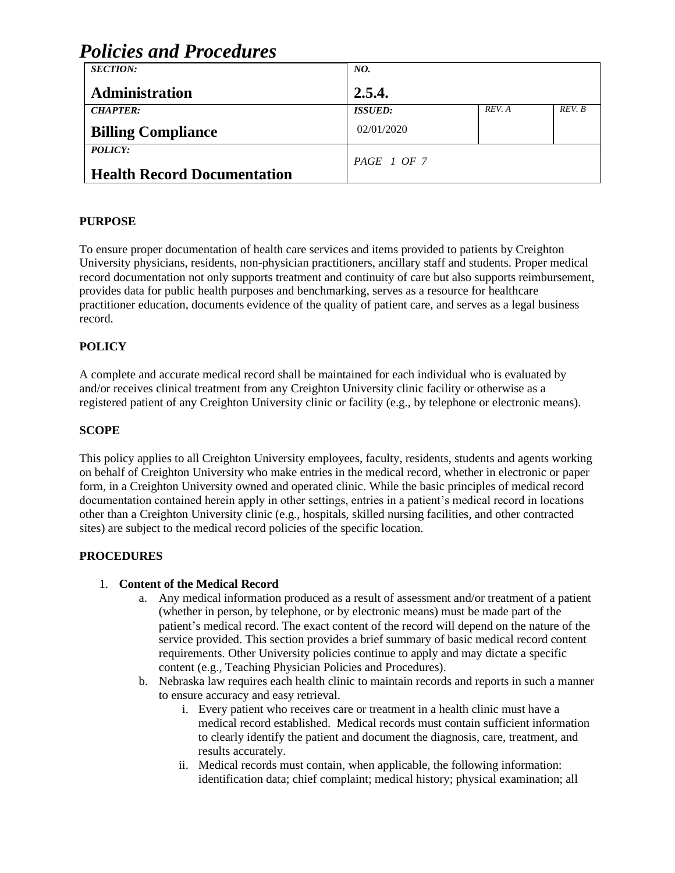| Policies and Procedures            |                |        |        |
|------------------------------------|----------------|--------|--------|
| <b>SECTION:</b>                    | NO.            |        |        |
| <b>Administration</b>              | 2.5.4.         |        |        |
| <b>CHAPTER:</b>                    | <b>ISSUED:</b> | REV. A | REV. B |
| <b>Billing Compliance</b>          | 02/01/2020     |        |        |
| POLICY:                            |                |        |        |
|                                    | PAGE 1 OF 7    |        |        |
| <b>Health Record Documentation</b> |                |        |        |

## **PURPOSE**

To ensure proper documentation of health care services and items provided to patients by Creighton University physicians, residents, non-physician practitioners, ancillary staff and students. Proper medical record documentation not only supports treatment and continuity of care but also supports reimbursement, provides data for public health purposes and benchmarking, serves as a resource for healthcare practitioner education, documents evidence of the quality of patient care, and serves as a legal business record.

## **POLICY**

A complete and accurate medical record shall be maintained for each individual who is evaluated by and/or receives clinical treatment from any Creighton University clinic facility or otherwise as a registered patient of any Creighton University clinic or facility (e.g., by telephone or electronic means).

#### **SCOPE**

This policy applies to all Creighton University employees, faculty, residents, students and agents working on behalf of Creighton University who make entries in the medical record, whether in electronic or paper form, in a Creighton University owned and operated clinic. While the basic principles of medical record documentation contained herein apply in other settings, entries in a patient's medical record in locations other than a Creighton University clinic (e.g., hospitals, skilled nursing facilities, and other contracted sites) are subject to the medical record policies of the specific location.

### **PROCEDURES**

#### 1. **Content of the Medical Record**

- a. Any medical information produced as a result of assessment and/or treatment of a patient (whether in person, by telephone, or by electronic means) must be made part of the patient's medical record. The exact content of the record will depend on the nature of the service provided. This section provides a brief summary of basic medical record content requirements. Other University policies continue to apply and may dictate a specific content (e.g., Teaching Physician Policies and Procedures).
- b. Nebraska law requires each health clinic to maintain records and reports in such a manner to ensure accuracy and easy retrieval.
	- i. Every patient who receives care or treatment in a health clinic must have a medical record established. Medical records must contain sufficient information to clearly identify the patient and document the diagnosis, care, treatment, and results accurately.
	- ii. Medical records must contain, when applicable, the following information: identification data; chief complaint; medical history; physical examination; all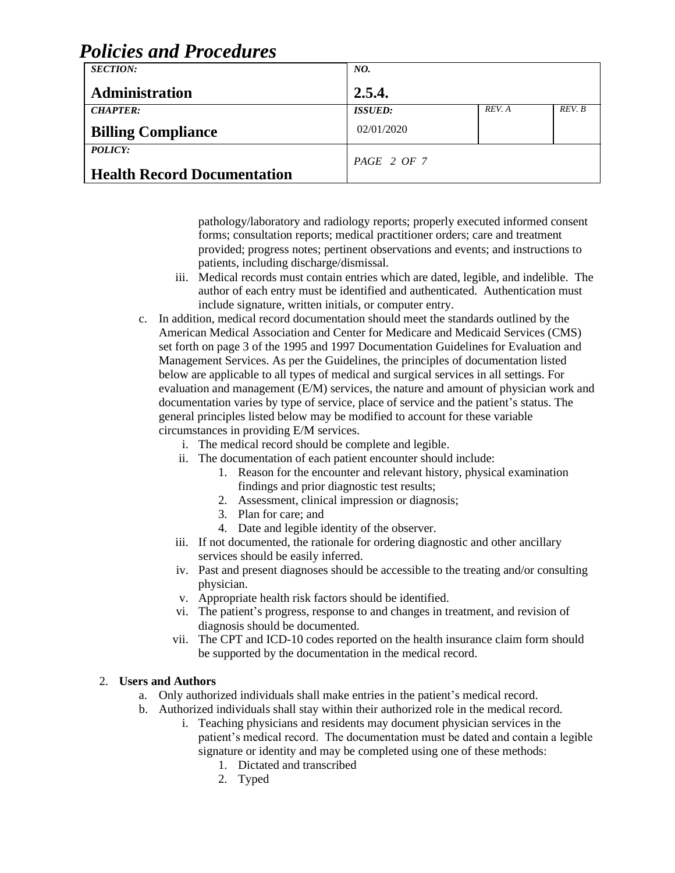| Poucles ana Proceaures             |                       |        |        |
|------------------------------------|-----------------------|--------|--------|
| <b>SECTION:</b>                    | NO.                   |        |        |
| <b>Administration</b>              | 2.5.4.                |        |        |
| <b>CHAPTER:</b>                    | <i><b>ISSUED:</b></i> | REV. A | REV. B |
| <b>Billing Compliance</b>          | 02/01/2020            |        |        |
| <b>POLICY:</b>                     |                       |        |        |
| <b>Health Record Documentation</b> | $PAGE$ 2 OF 7         |        |        |

pathology/laboratory and radiology reports; properly executed informed consent forms; consultation reports; medical practitioner orders; care and treatment provided; progress notes; pertinent observations and events; and instructions to patients, including discharge/dismissal.

- iii. Medical records must contain entries which are dated, legible, and indelible. The author of each entry must be identified and authenticated. Authentication must include signature, written initials, or computer entry.
- c. In addition, medical record documentation should meet the standards outlined by the American Medical Association and Center for Medicare and Medicaid Services (CMS) set forth on page 3 of the 1995 and 1997 Documentation Guidelines for Evaluation and Management Services. As per the Guidelines, the principles of documentation listed below are applicable to all types of medical and surgical services in all settings. For evaluation and management (E/M) services, the nature and amount of physician work and documentation varies by type of service, place of service and the patient's status. The general principles listed below may be modified to account for these variable circumstances in providing E/M services.
	- i. The medical record should be complete and legible.
	- ii. The documentation of each patient encounter should include:
		- 1. Reason for the encounter and relevant history, physical examination findings and prior diagnostic test results;
		- 2. Assessment, clinical impression or diagnosis;
		- 3. Plan for care; and
		- 4. Date and legible identity of the observer.
	- iii. If not documented, the rationale for ordering diagnostic and other ancillary services should be easily inferred.
	- iv. Past and present diagnoses should be accessible to the treating and/or consulting physician.
	- v. Appropriate health risk factors should be identified.
	- vi. The patient's progress, response to and changes in treatment, and revision of diagnosis should be documented.
	- vii. The CPT and ICD-10 codes reported on the health insurance claim form should be supported by the documentation in the medical record.

### 2. **Users and Authors**

- a. Only authorized individuals shall make entries in the patient's medical record.
- b. Authorized individuals shall stay within their authorized role in the medical record.
	- i. Teaching physicians and residents may document physician services in the patient's medical record. The documentation must be dated and contain a legible signature or identity and may be completed using one of these methods:
		- 1. Dictated and transcribed
		- 2. Typed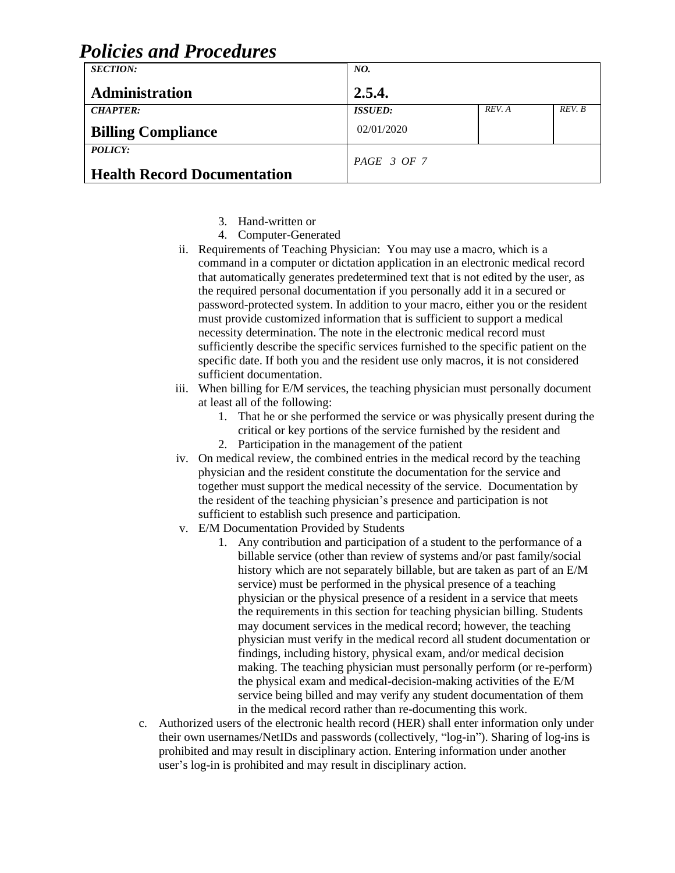| Poucles and Proceaures             |                       |        |        |
|------------------------------------|-----------------------|--------|--------|
| <b>SECTION:</b>                    | NO.                   |        |        |
| <b>Administration</b>              | 2.5.4.                |        |        |
| <b>CHAPTER:</b>                    | <i><b>ISSUED:</b></i> | REV. A | REV. B |
| <b>Billing Compliance</b>          | 02/01/2020            |        |        |
| <b>POLICY:</b>                     | PAGE 3 OF 7           |        |        |
| <b>Health Record Documentation</b> |                       |        |        |

- 3. Hand-written or
- 4. Computer-Generated
- ii. Requirements of Teaching Physician: You may use a macro, which is a command in a computer or dictation application in an electronic medical record that automatically generates predetermined text that is not edited by the user, as the required personal documentation if you personally add it in a secured or password-protected system. In addition to your macro, either you or the resident must provide customized information that is sufficient to support a medical necessity determination. The note in the electronic medical record must sufficiently describe the specific services furnished to the specific patient on the specific date. If both you and the resident use only macros, it is not considered sufficient documentation.
- iii. When billing for E/M services, the teaching physician must personally document at least all of the following:
	- 1. That he or she performed the service or was physically present during the critical or key portions of the service furnished by the resident and
	- 2. Participation in the management of the patient
- iv. On medical review, the combined entries in the medical record by the teaching physician and the resident constitute the documentation for the service and together must support the medical necessity of the service. Documentation by the resident of the teaching physician's presence and participation is not sufficient to establish such presence and participation.
- v. E/M Documentation Provided by Students
	- 1. Any contribution and participation of a student to the performance of a billable service (other than review of systems and/or past family/social history which are not separately billable, but are taken as part of an E/M service) must be performed in the physical presence of a teaching physician or the physical presence of a resident in a service that meets the requirements in this section for teaching physician billing. Students may document services in the medical record; however, the teaching physician must verify in the medical record all student documentation or findings, including history, physical exam, and/or medical decision making. The teaching physician must personally perform (or re-perform) the physical exam and medical-decision-making activities of the E/M service being billed and may verify any student documentation of them in the medical record rather than re-documenting this work.
- c. Authorized users of the electronic health record (HER) shall enter information only under their own usernames/NetIDs and passwords (collectively, "log-in"). Sharing of log-ins is prohibited and may result in disciplinary action. Entering information under another user's log-in is prohibited and may result in disciplinary action.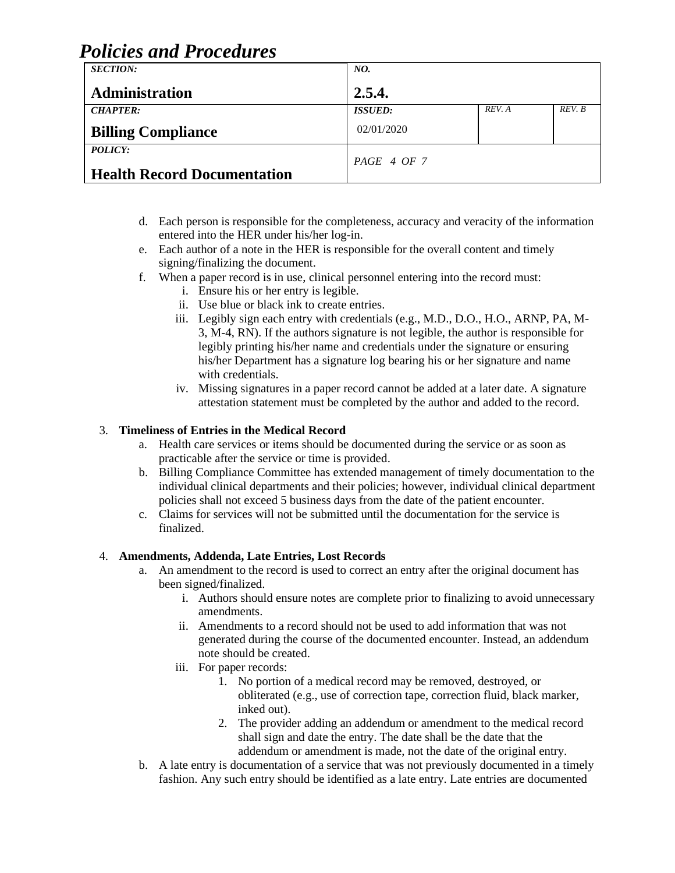| <b>SECTION:</b>                               | NO.            |        |        |
|-----------------------------------------------|----------------|--------|--------|
| Administration                                | 2.5.4.         |        |        |
| <b>CHAPTER:</b>                               | <b>ISSUED:</b> | REV. A | REV. B |
| <b>Billing Compliance</b>                     | 02/01/2020     |        |        |
| POLICY:<br><b>Health Record Documentation</b> | PAGE 4 OF 7    |        |        |
|                                               |                |        |        |

- d. Each person is responsible for the completeness, accuracy and veracity of the information entered into the HER under his/her log-in.
- e. Each author of a note in the HER is responsible for the overall content and timely signing/finalizing the document.
- f. When a paper record is in use, clinical personnel entering into the record must:
	- i. Ensure his or her entry is legible.
	- ii. Use blue or black ink to create entries.
	- iii. Legibly sign each entry with credentials (e.g., M.D., D.O., H.O., ARNP, PA, M-3, M-4, RN). If the authors signature is not legible, the author is responsible for legibly printing his/her name and credentials under the signature or ensuring his/her Department has a signature log bearing his or her signature and name with credentials.
	- iv. Missing signatures in a paper record cannot be added at a later date. A signature attestation statement must be completed by the author and added to the record.

### 3. **Timeliness of Entries in the Medical Record**

- a. Health care services or items should be documented during the service or as soon as practicable after the service or time is provided.
- b. Billing Compliance Committee has extended management of timely documentation to the individual clinical departments and their policies; however, individual clinical department policies shall not exceed 5 business days from the date of the patient encounter.
- c. Claims for services will not be submitted until the documentation for the service is finalized.

#### 4. **Amendments, Addenda, Late Entries, Lost Records**

- a. An amendment to the record is used to correct an entry after the original document has been signed/finalized.
	- i. Authors should ensure notes are complete prior to finalizing to avoid unnecessary amendments.
	- ii. Amendments to a record should not be used to add information that was not generated during the course of the documented encounter. Instead, an addendum note should be created.
	- iii. For paper records:
		- 1. No portion of a medical record may be removed, destroyed, or obliterated (e.g., use of correction tape, correction fluid, black marker, inked out).
		- 2. The provider adding an addendum or amendment to the medical record shall sign and date the entry. The date shall be the date that the addendum or amendment is made, not the date of the original entry.
- b. A late entry is documentation of a service that was not previously documented in a timely fashion. Any such entry should be identified as a late entry. Late entries are documented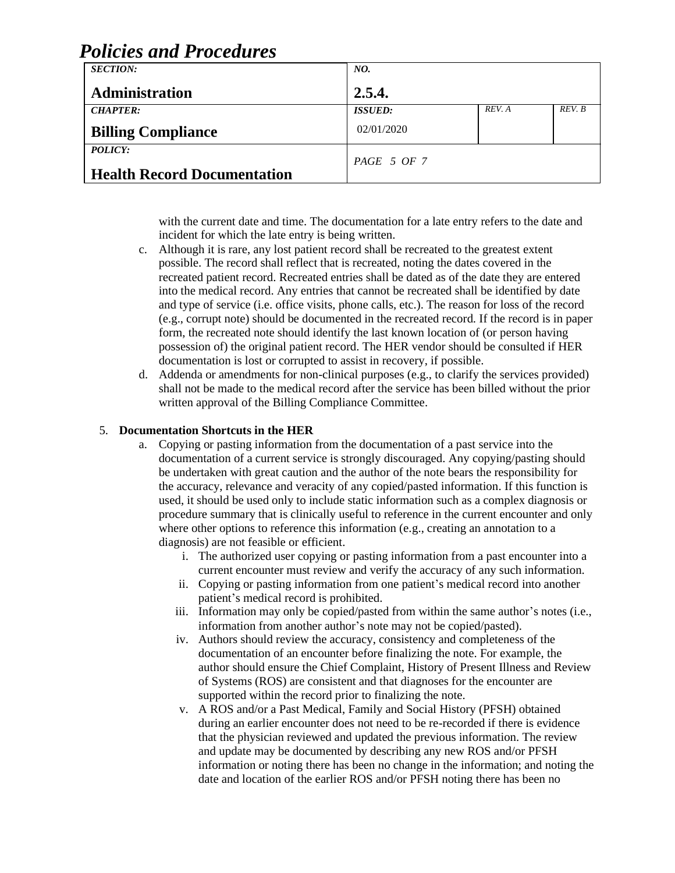| Poucles and Proceaures             |                       |        |        |
|------------------------------------|-----------------------|--------|--------|
| <b>SECTION:</b>                    | NO.                   |        |        |
| <b>Administration</b>              | 2.5.4.                |        |        |
| <b>CHAPTER:</b>                    | <i><b>ISSUED:</b></i> | REV. A | REV. B |
| <b>Billing Compliance</b>          | 02/01/2020            |        |        |
| POLICY:                            |                       |        |        |
|                                    | PAGE 5 OF 7           |        |        |
| <b>Health Record Documentation</b> |                       |        |        |

with the current date and time. The documentation for a late entry refers to the date and incident for which the late entry is being written.

- c. Although it is rare, any lost patient record shall be recreated to the greatest extent possible. The record shall reflect that is recreated, noting the dates covered in the recreated patient record. Recreated entries shall be dated as of the date they are entered into the medical record. Any entries that cannot be recreated shall be identified by date and type of service (i.e. office visits, phone calls, etc.). The reason for loss of the record (e.g., corrupt note) should be documented in the recreated record. If the record is in paper form, the recreated note should identify the last known location of (or person having possession of) the original patient record. The HER vendor should be consulted if HER documentation is lost or corrupted to assist in recovery, if possible.
- d. Addenda or amendments for non-clinical purposes (e.g., to clarify the services provided) shall not be made to the medical record after the service has been billed without the prior written approval of the Billing Compliance Committee.

#### 5. **Documentation Shortcuts in the HER**

- a. Copying or pasting information from the documentation of a past service into the documentation of a current service is strongly discouraged. Any copying/pasting should be undertaken with great caution and the author of the note bears the responsibility for the accuracy, relevance and veracity of any copied/pasted information. If this function is used, it should be used only to include static information such as a complex diagnosis or procedure summary that is clinically useful to reference in the current encounter and only where other options to reference this information (e.g., creating an annotation to a diagnosis) are not feasible or efficient.
	- i. The authorized user copying or pasting information from a past encounter into a current encounter must review and verify the accuracy of any such information.
	- ii. Copying or pasting information from one patient's medical record into another patient's medical record is prohibited.
	- iii. Information may only be copied/pasted from within the same author's notes (i.e., information from another author's note may not be copied/pasted).
	- iv. Authors should review the accuracy, consistency and completeness of the documentation of an encounter before finalizing the note. For example, the author should ensure the Chief Complaint, History of Present Illness and Review of Systems (ROS) are consistent and that diagnoses for the encounter are supported within the record prior to finalizing the note.
	- v. A ROS and/or a Past Medical, Family and Social History (PFSH) obtained during an earlier encounter does not need to be re-recorded if there is evidence that the physician reviewed and updated the previous information. The review and update may be documented by describing any new ROS and/or PFSH information or noting there has been no change in the information; and noting the date and location of the earlier ROS and/or PFSH noting there has been no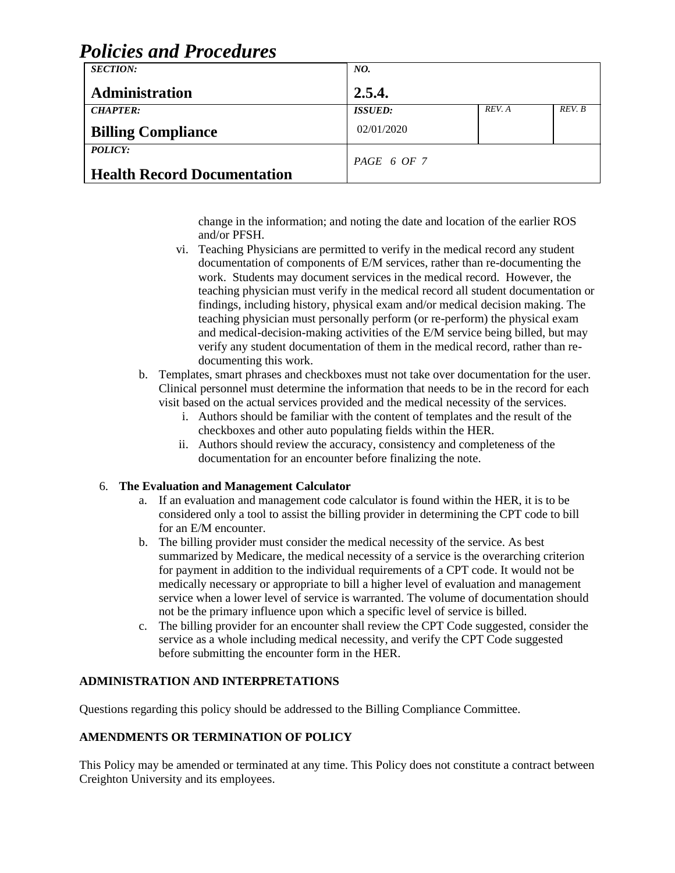| Poucles and Proceaures             |                       |        |        |  |
|------------------------------------|-----------------------|--------|--------|--|
| <b>SECTION:</b>                    | NO.                   |        |        |  |
| <b>Administration</b>              | 2.5.4.                |        |        |  |
| <b>CHAPTER:</b>                    | <i><b>ISSUED:</b></i> | REV. A | REV. B |  |
| <b>Billing Compliance</b>          | 02/01/2020            |        |        |  |
| POLICY:                            | PAGE 6 OF 7           |        |        |  |
| <b>Health Record Documentation</b> |                       |        |        |  |

change in the information; and noting the date and location of the earlier ROS and/or PFSH.

- vi. Teaching Physicians are permitted to verify in the medical record any student documentation of components of E/M services, rather than re-documenting the work. Students may document services in the medical record. However, the teaching physician must verify in the medical record all student documentation or findings, including history, physical exam and/or medical decision making. The teaching physician must personally perform (or re-perform) the physical exam and medical-decision-making activities of the E/M service being billed, but may verify any student documentation of them in the medical record, rather than redocumenting this work.
- b. Templates, smart phrases and checkboxes must not take over documentation for the user. Clinical personnel must determine the information that needs to be in the record for each visit based on the actual services provided and the medical necessity of the services.
	- i. Authors should be familiar with the content of templates and the result of the checkboxes and other auto populating fields within the HER.
	- ii. Authors should review the accuracy, consistency and completeness of the documentation for an encounter before finalizing the note.

### 6. **The Evaluation and Management Calculator**

- a. If an evaluation and management code calculator is found within the HER, it is to be considered only a tool to assist the billing provider in determining the CPT code to bill for an E/M encounter.
- b. The billing provider must consider the medical necessity of the service. As best summarized by Medicare, the medical necessity of a service is the overarching criterion for payment in addition to the individual requirements of a CPT code. It would not be medically necessary or appropriate to bill a higher level of evaluation and management service when a lower level of service is warranted. The volume of documentation should not be the primary influence upon which a specific level of service is billed.
- c. The billing provider for an encounter shall review the CPT Code suggested, consider the service as a whole including medical necessity, and verify the CPT Code suggested before submitting the encounter form in the HER.

### **ADMINISTRATION AND INTERPRETATIONS**

Questions regarding this policy should be addressed to the Billing Compliance Committee.

### **AMENDMENTS OR TERMINATION OF POLICY**

This Policy may be amended or terminated at any time. This Policy does not constitute a contract between Creighton University and its employees.